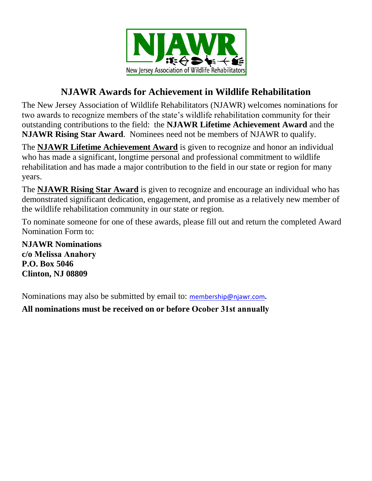

## **NJAWR Awards for Achievement in Wildlife Rehabilitation**

The New Jersey Association of Wildlife Rehabilitators (NJAWR) welcomes nominations for two awards to recognize members of the state's wildlife rehabilitation community for their outstanding contributions to the field: the **NJAWR Lifetime Achievement Award** and the **NJAWR Rising Star Award**. Nominees need not be members of NJAWR to qualify.

The **NJAWR Lifetime Achievement Award** is given to recognize and honor an individual who has made a significant, longtime personal and professional commitment to wildlife rehabilitation and has made a major contribution to the field in our state or region for many years.

The **NJAWR Rising Star Award** is given to recognize and encourage an individual who has demonstrated significant dedication, engagement, and promise as a relatively new member of the wildlife rehabilitation community in our state or region.

To nominate someone for one of these awards, please fill out and return the completed Award Nomination Form to:

**NJAWR Nominations c/o Melissa Anahory P.O. Box 5046 Clinton, NJ 08809** 

Nominations may also be submitted by email to: [membership@njawr.com](mailto:membership@njawr.com)**.** 

**All nominations must be received on or before Ocober 31st annually**